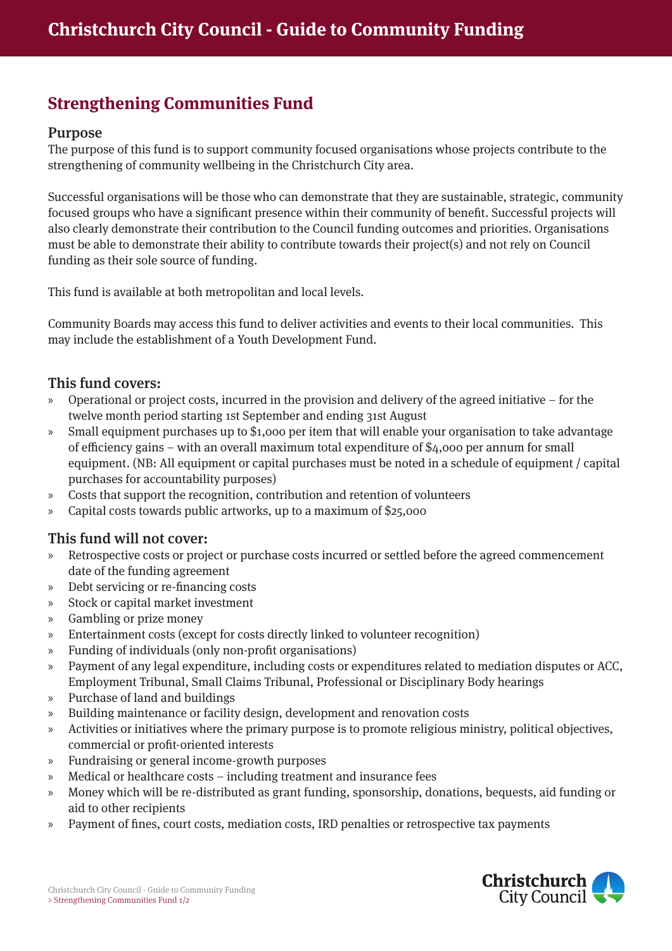# **Strengthening Communities Fund**

#### Purpose

The purpose of this fund is to support community focused organisations whose projects contribute to the strengthening of community wellbeing in the Christchurch City area.

Successful organisations will be those who can demonstrate that they are sustainable, strategic, community focused groups who have a significant presence within their community of benefit. Successful projects will also clearly demonstrate their contribution to the Council funding outcomes and priorities. Organisations must be able to demonstrate their ability to contribute towards their project(s) and not rely on Council funding as their sole source of funding.

This fund is available at both metropolitan and local levels.

Community Boards may access this fund to deliver activities and events to their local communities. This may include the establishment of a Youth Development Fund.

### This fund covers:

- » Operational or project costs, incurred in the provision and delivery of the agreed initiative for the twelve month period starting 1st September and ending 31st August
- » Small equipment purchases up to \$1,000 per item that will enable your organisation to take advantage of efficiency gains – with an overall maximum total expenditure of \$4,000 per annum for small equipment. (NB: All equipment or capital purchases must be noted in a schedule of equipment / capital purchases for accountability purposes)
- » Costs that support the recognition, contribution and retention of volunteers
- » Capital costs towards public artworks, up to a maximum of \$25,000

#### This fund will not cover:

- » Retrospective costs or project or purchase costs incurred or settled before the agreed commencement date of the funding agreement
- » Debt servicing or re-financing costs
- » Stock or capital market investment
- » Gambling or prize money
- » Entertainment costs (except for costs directly linked to volunteer recognition)
- » Funding of individuals (only non-profit organisations)
- » Payment of any legal expenditure, including costs or expenditures related to mediation disputes or ACC, Employment Tribunal, Small Claims Tribunal, Professional or Disciplinary Body hearings
- » Purchase of land and buildings
- » Building maintenance or facility design, development and renovation costs
- » Activities or initiatives where the primary purpose is to promote religious ministry, political objectives, commercial or profit-oriented interests
- » Fundraising or general income-growth purposes
- » Medical or healthcare costs including treatment and insurance fees
- » Money which will be re-distributed as grant funding, sponsorship, donations, bequests, aid funding or aid to other recipients
- » Payment of fines, court costs, mediation costs, IRD penalties or retrospective tax payments